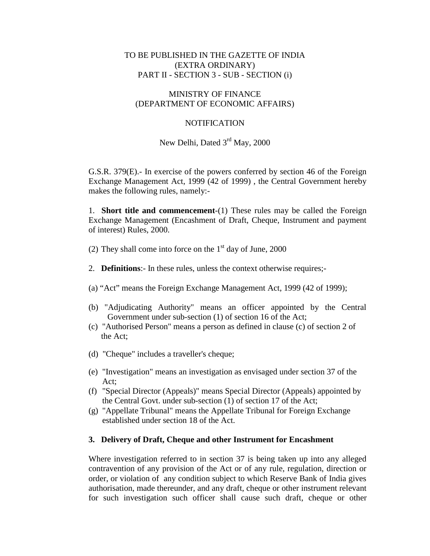## TO BE PUBLISHED IN THE GAZETTE OF INDIA (EXTRA ORDINARY) PART II - SECTION 3 - SUB - SECTION (i)

#### MINISTRY OF FINANCE (DEPARTMENT OF ECONOMIC AFFAIRS)

## **NOTIFICATION**

# New Delhi, Dated 3<sup>rd</sup> May, 2000

G.S.R. 379(E).- In exercise of the powers conferred by section 46 of the Foreign Exchange Management Act, 1999 (42 of 1999) , the Central Government hereby makes the following rules, namely:-

1. **Short title and commencement**-(1) These rules may be called the Foreign Exchange Management (Encashment of Draft, Cheque, Instrument and payment of interest) Rules, 2000.

- (2) They shall come into force on the  $1<sup>st</sup>$  day of June, 2000
- 2. **Definitions**:- In these rules, unless the context otherwise requires;-
- (a) "Act" means the Foreign Exchange Management Act, 1999 (42 of 1999);
- (b) "Adjudicating Authority" means an officer appointed by the Central Government under sub-section (1) of section 16 of the Act;
- (c) "Authorised Person" means a person as defined in clause (c) of section 2 of the Act;
- (d) "Cheque" includes a traveller's cheque;
- (e) "Investigation" means an investigation as envisaged under section 37 of the Act;
- (f) "Special Director (Appeals)" means Special Director (Appeals) appointed by the Central Govt. under sub-section (1) of section 17 of the Act;
- (g) "Appellate Tribunal" means the Appellate Tribunal for Foreign Exchange established under section 18 of the Act.

## **3. Delivery of Draft, Cheque and other Instrument for Encashment**

Where investigation referred to in section 37 is being taken up into any alleged contravention of any provision of the Act or of any rule, regulation, direction or order, or violation of any condition subject to which Reserve Bank of India gives authorisation, made thereunder, and any draft, cheque or other instrument relevant for such investigation such officer shall cause such draft, cheque or other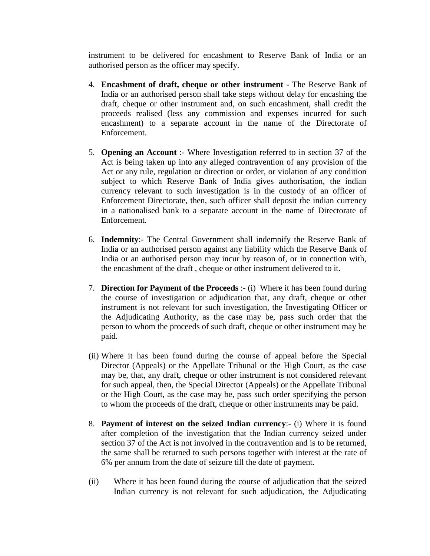instrument to be delivered for encashment to Reserve Bank of India or an authorised person as the officer may specify.

- 4. **Encashment of draft, cheque or other instrument** The Reserve Bank of India or an authorised person shall take steps without delay for encashing the draft, cheque or other instrument and, on such encashment, shall credit the proceeds realised (less any commission and expenses incurred for such encashment) to a separate account in the name of the Directorate of Enforcement.
- 5. **Opening an Account** :- Where Investigation referred to in section 37 of the Act is being taken up into any alleged contravention of any provision of the Act or any rule, regulation or direction or order, or violation of any condition subject to which Reserve Bank of India gives authorisation, the indian currency relevant to such investigation is in the custody of an officer of Enforcement Directorate, then, such officer shall deposit the indian currency in a nationalised bank to a separate account in the name of Directorate of Enforcement.
- 6. **Indemnity**:- The Central Government shall indemnify the Reserve Bank of India or an authorised person against any liability which the Reserve Bank of India or an authorised person may incur by reason of, or in connection with, the encashment of the draft , cheque or other instrument delivered to it.
- 7. **Direction for Payment of the Proceeds** :- (i) Where it has been found during the course of investigation or adjudication that, any draft, cheque or other instrument is not relevant for such investigation, the Investigating Officer or the Adjudicating Authority, as the case may be, pass such order that the person to whom the proceeds of such draft, cheque or other instrument may be paid.
- (ii) Where it has been found during the course of appeal before the Special Director (Appeals) or the Appellate Tribunal or the High Court, as the case may be, that, any draft, cheque or other instrument is not considered relevant for such appeal, then, the Special Director (Appeals) or the Appellate Tribunal or the High Court, as the case may be, pass such order specifying the person to whom the proceeds of the draft, cheque or other instruments may be paid.
- 8. **Payment of interest on the seized Indian currency**:- (i) Where it is found after completion of the investigation that the Indian currency seized under section 37 of the Act is not involved in the contravention and is to be returned, the same shall be returned to such persons together with interest at the rate of 6% per annum from the date of seizure till the date of payment.
- (ii) Where it has been found during the course of adjudication that the seized Indian currency is not relevant for such adjudication, the Adjudicating